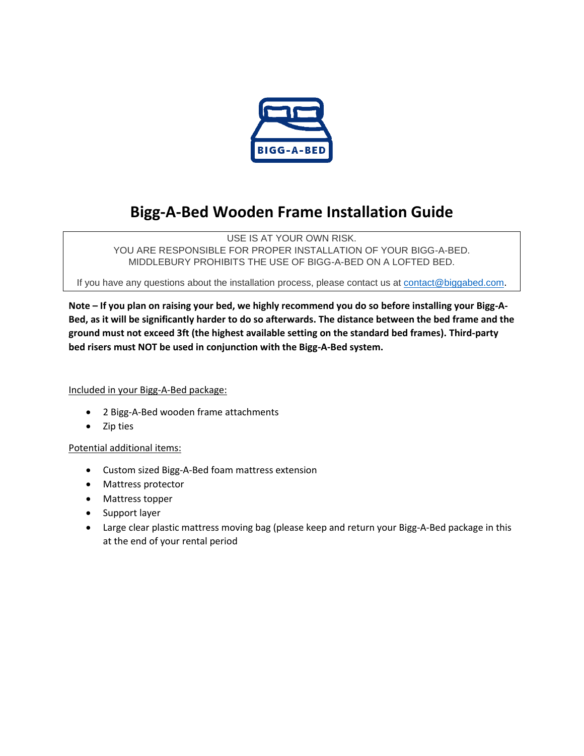

## **Bigg-A-Bed Wooden Frame Installation Guide**

USE IS AT YOUR OWN RISK. YOU ARE RESPONSIBLE FOR PROPER INSTALLATION OF YOUR BIGG-A-BED. MIDDLEBURY PROHIBITS THE USE OF BIGG-A-BED ON A LOFTED BED.

If you have any questions about the installation process, please contact us at [contact@biggabed.com](mailto:contact@biggabed.com).

**Note – If you plan on raising your bed, we highly recommend you do so before installing your Bigg-A-Bed, as it will be significantly harder to do so afterwards. The distance between the bed frame and the ground must not exceed 3ft (the highest available setting on the standard bed frames). Third-party bed risers must NOT be used in conjunction with the Bigg-A-Bed system.** 

#### Included in your Bigg-A-Bed package:

- 2 Bigg-A-Bed wooden frame attachments
- Zip ties

#### Potential additional items:

- Custom sized Bigg-A-Bed foam mattress extension
- Mattress protector
- Mattress topper
- Support layer
- Large clear plastic mattress moving bag (please keep and return your Bigg-A-Bed package in this at the end of your rental period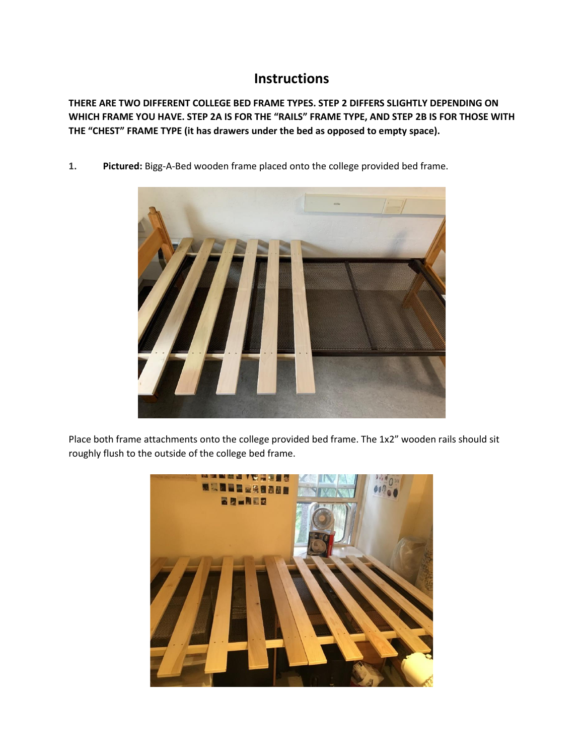### **Instructions**

**THERE ARE TWO DIFFERENT COLLEGE BED FRAME TYPES. STEP 2 DIFFERS SLIGHTLY DEPENDING ON WHICH FRAME YOU HAVE. STEP 2A IS FOR THE "RAILS" FRAME TYPE, AND STEP 2B IS FOR THOSE WITH THE "CHEST" FRAME TYPE (it has drawers under the bed as opposed to empty space).**

**1. Pictured:** Bigg-A-Bed wooden frame placed onto the college provided bed frame.



Place both frame attachments onto the college provided bed frame. The 1x2" wooden rails should sit roughly flush to the outside of the college bed frame.

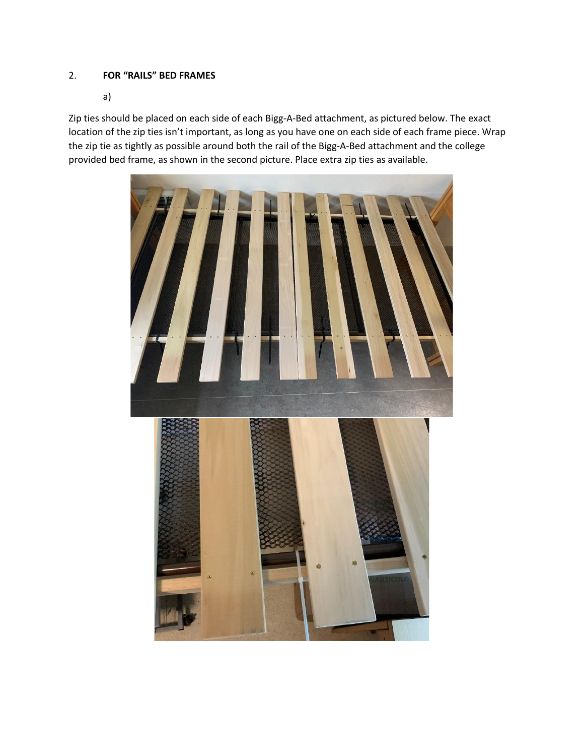#### 2. **FOR "RAILS" BED FRAMES**

a)

Zip ties should be placed on each side of each Bigg-A-Bed attachment, as pictured below. The exact location of the zip ties isn't important, as long as you have one on each side of each frame piece. Wrap the zip tie as tightly as possible around both the rail of the Bigg-A-Bed attachment and the college provided bed frame, as shown in the second picture. Place extra zip ties as available.

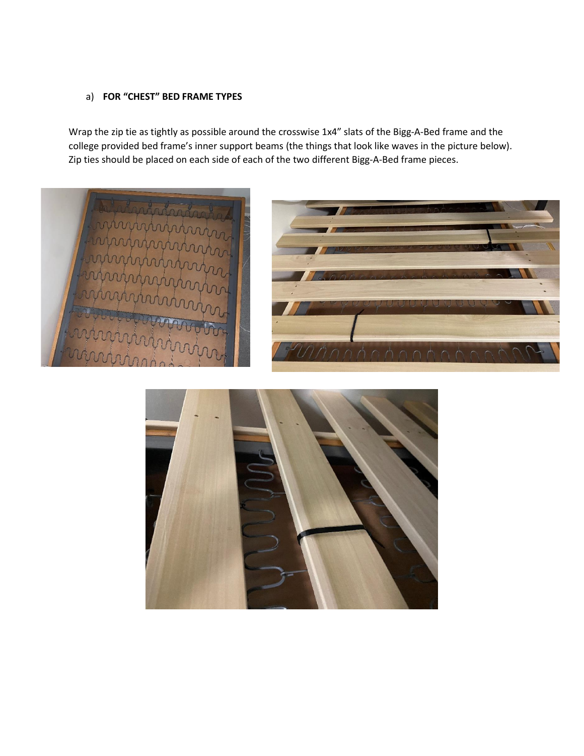#### a) **FOR "CHEST" BED FRAME TYPES**

Wrap the zip tie as tightly as possible around the crosswise 1x4" slats of the Bigg-A-Bed frame and the college provided bed frame's inner support beams (the things that look like waves in the picture below). Zip ties should be placed on each side of each of the two different Bigg-A-Bed frame pieces.



![](_page_3_Picture_3.jpeg)

![](_page_3_Picture_4.jpeg)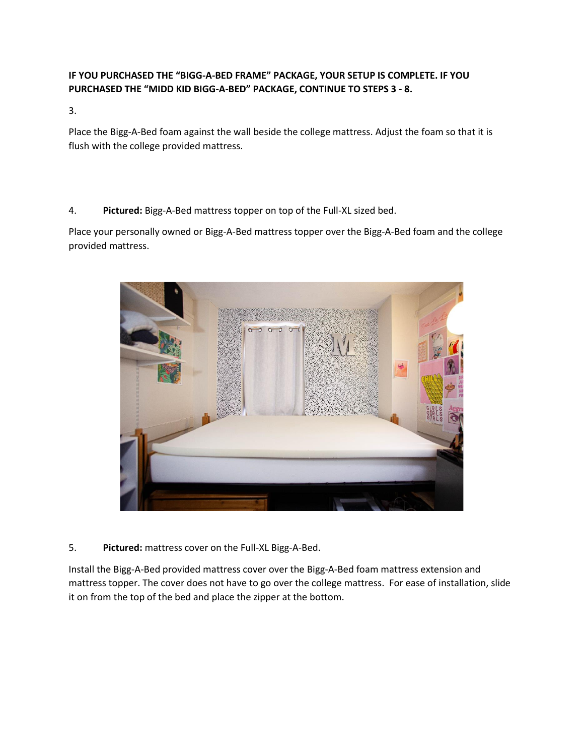#### **IF YOU PURCHASED THE "BIGG-A-BED FRAME" PACKAGE, YOUR SETUP IS COMPLETE. IF YOU PURCHASED THE "MIDD KID BIGG-A-BED" PACKAGE, CONTINUE TO STEPS 3 - 8.**

3.

Place the Bigg-A-Bed foam against the wall beside the college mattress. Adjust the foam so that it is flush with the college provided mattress.

4. **Pictured:** Bigg-A-Bed mattress topper on top of the Full-XL sized bed.

Place your personally owned or Bigg-A-Bed mattress topper over the Bigg-A-Bed foam and the college provided mattress.

![](_page_4_Picture_5.jpeg)

5. **Pictured:** mattress cover on the Full-XL Bigg-A-Bed.

Install the Bigg-A-Bed provided mattress cover over the Bigg-A-Bed foam mattress extension and mattress topper. The cover does not have to go over the college mattress. For ease of installation, slide it on from the top of the bed and place the zipper at the bottom.